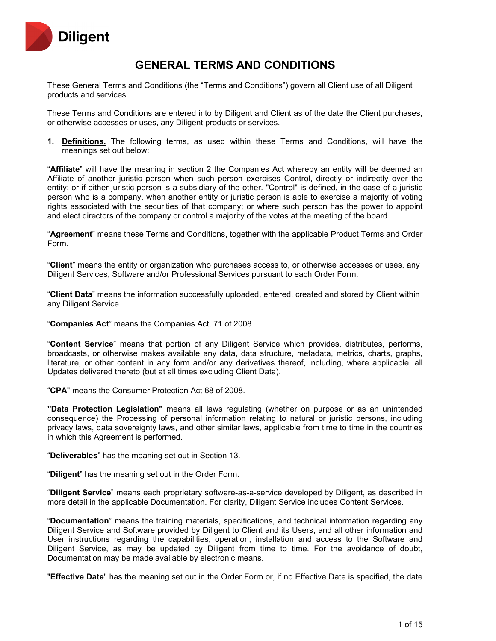

# **GENERAL TERMS AND CONDITIONS**

These General Terms and Conditions (the "Terms and Conditions") govern all Client use of all Diligent products and services.

These Terms and Conditions are entered into by Diligent and Client as of the date the Client purchases, or otherwise accesses or uses, any Diligent products or services.

**1. Definitions.** The following terms, as used within these Terms and Conditions, will have the meanings set out below:

"**Affiliate**" will have the meaning in section 2 the Companies Act whereby an entity will be deemed an Affiliate of another juristic person when such person exercises Control, directly or indirectly over the entity; or if either juristic person is a subsidiary of the other. "Control" is defined, in the case of a juristic person who is a company, when another entity or juristic person is able to exercise a majority of voting rights associated with the securities of that company; or where such person has the power to appoint and elect directors of the company or control a majority of the votes at the meeting of the board.

"**Agreement**" means these Terms and Conditions, together with the applicable Product Terms and Order Form.

"**Client**" means the entity or organization who purchases access to, or otherwise accesses or uses, any Diligent Services, Software and/or Professional Services pursuant to each Order Form.

"**Client Data**" means the information successfully uploaded, entered, created and stored by Client within any Diligent Service..

"**Companies Act**" means the Companies Act, 71 of 2008.

"**Content Service**" means that portion of any Diligent Service which provides, distributes, performs, broadcasts, or otherwise makes available any data, data structure, metadata, metrics, charts, graphs, literature, or other content in any form and/or any derivatives thereof, including, where applicable, all Updates delivered thereto (but at all times excluding Client Data).

"**CPA**" means the Consumer Protection Act 68 of 2008.

**"Data Protection Legislation"** means all laws regulating (whether on purpose or as an unintended consequence) the Processing of personal information relating to natural or juristic persons, including privacy laws, data sovereignty laws, and other similar laws, applicable from time to time in the countries in which this Agreement is performed.

"**Deliverables**" has the meaning set out in Section 13.

"**Diligent**" has the meaning set out in the Order Form.

"**Diligent Service**" means each proprietary software-as-a-service developed by Diligent, as described in more detail in the applicable Documentation. For clarity, Diligent Service includes Content Services.

"**Documentation**" means the training materials, specifications, and technical information regarding any Diligent Service and Software provided by Diligent to Client and its Users, and all other information and User instructions regarding the capabilities, operation, installation and access to the Software and Diligent Service, as may be updated by Diligent from time to time. For the avoidance of doubt, Documentation may be made available by electronic means.

"**Effective Date**" has the meaning set out in the Order Form or, if no Effective Date is specified, the date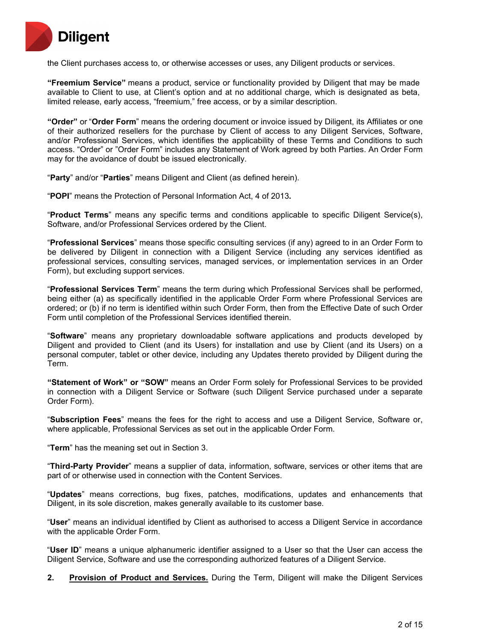

the Client purchases access to, or otherwise accesses or uses, any Diligent products or services.

**"Freemium Service"** means a product, service or functionality provided by Diligent that may be made available to Client to use, at Client's option and at no additional charge, which is designated as beta, limited release, early access, "freemium," free access, or by a similar description.

**"Order"** or "**Order Form**" means the ordering document or invoice issued by Diligent, its Affiliates or one of their authorized resellers for the purchase by Client of access to any Diligent Services, Software, and/or Professional Services, which identifies the applicability of these Terms and Conditions to such access. "Order" or "Order Form" includes any Statement of Work agreed by both Parties. An Order Form may for the avoidance of doubt be issued electronically.

"**Party**" and/or "**Parties**" means Diligent and Client (as defined herein).

"**POPI**" means the Protection of Personal Information Act, 4 of 2013**.**

"**Product Terms**" means any specific terms and conditions applicable to specific Diligent Service(s), Software, and/or Professional Services ordered by the Client.

"**Professional Services**" means those specific consulting services (if any) agreed to in an Order Form to be delivered by Diligent in connection with a Diligent Service (including any services identified as professional services, consulting services, managed services, or implementation services in an Order Form), but excluding support services.

"**Professional Services Term**" means the term during which Professional Services shall be performed, being either (a) as specifically identified in the applicable Order Form where Professional Services are ordered; or (b) if no term is identified within such Order Form, then from the Effective Date of such Order Form until completion of the Professional Services identified therein.

"**Software**" means any proprietary downloadable software applications and products developed by Diligent and provided to Client (and its Users) for installation and use by Client (and its Users) on a personal computer, tablet or other device, including any Updates thereto provided by Diligent during the Term.

**"Statement of Work" or "SOW"** means an Order Form solely for Professional Services to be provided in connection with a Diligent Service or Software (such Diligent Service purchased under a separate Order Form).

"**Subscription Fees**" means the fees for the right to access and use a Diligent Service, Software or, where applicable, Professional Services as set out in the applicable Order Form.

"**Term**" has the meaning set out in Section 3.

"**Third-Party Provider**" means a supplier of data, information, software, services or other items that are part of or otherwise used in connection with the Content Services.

"**Updates**" means corrections, bug fixes, patches, modifications, updates and enhancements that Diligent, in its sole discretion, makes generally available to its customer base.

"**User**" means an individual identified by Client as authorised to access a Diligent Service in accordance with the applicable Order Form.

"**User ID**" means a unique alphanumeric identifier assigned to a User so that the User can access the Diligent Service, Software and use the corresponding authorized features of a Diligent Service.

**2. Provision of Product and Services.** During the Term, Diligent will make the Diligent Services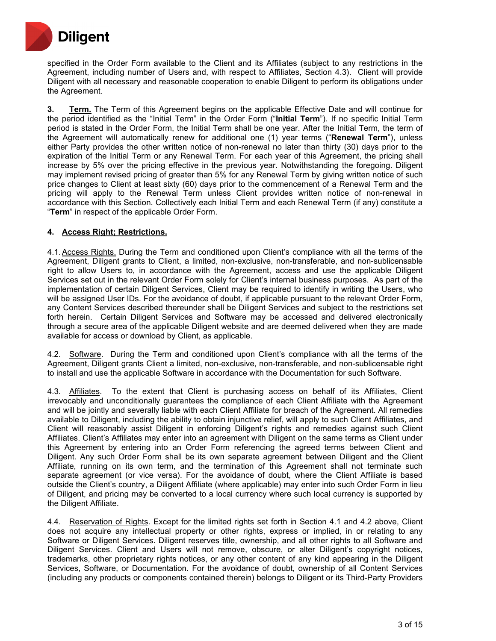

specified in the Order Form available to the Client and its Affiliates (subject to any restrictions in the Agreement, including number of Users and, with respect to Affiliates, Section 4.3). Client will provide Diligent with all necessary and reasonable cooperation to enable Diligent to perform its obligations under the Agreement.

**3. Term.** The Term of this Agreement begins on the applicable Effective Date and will continue for the period identified as the "Initial Term" in the Order Form ("**Initial Term**"). If no specific Initial Term period is stated in the Order Form, the Initial Term shall be one year. After the Initial Term, the term of the Agreement will automatically renew for additional one (1) year terms ("**Renewal Term**"), unless either Party provides the other written notice of non-renewal no later than thirty (30) days prior to the expiration of the Initial Term or any Renewal Term. For each year of this Agreement, the pricing shall increase by 5% over the pricing effective in the previous year. Notwithstanding the foregoing. Diligent may implement revised pricing of greater than 5% for any Renewal Term by giving written notice of such price changes to Client at least sixty (60) days prior to the commencement of a Renewal Term and the pricing will apply to the Renewal Term unless Client provides written notice of non-renewal in accordance with this Section. Collectively each Initial Term and each Renewal Term (if any) constitute a "**Term**" in respect of the applicable Order Form.

## **4. Access Right; Restrictions.**

4.1.Access Rights. During the Term and conditioned upon Client's compliance with all the terms of the Agreement, Diligent grants to Client, a limited, non-exclusive, non-transferable, and non-sublicensable right to allow Users to, in accordance with the Agreement, access and use the applicable Diligent Services set out in the relevant Order Form solely for Client's internal business purposes. As part of the implementation of certain Diligent Services, Client may be required to identify in writing the Users, who will be assigned User IDs. For the avoidance of doubt, if applicable pursuant to the relevant Order Form, any Content Services described thereunder shall be Diligent Services and subject to the restrictions set forth herein. Certain Diligent Services and Software may be accessed and delivered electronically through a secure area of the applicable Diligent website and are deemed delivered when they are made available for access or download by Client, as applicable.

4.2. Software. During the Term and conditioned upon Client's compliance with all the terms of the Agreement, Diligent grants Client a limited, non-exclusive, non-transferable, and non-sublicensable right to install and use the applicable Software in accordance with the Documentation for such Software.

4.3. Affiliates. To the extent that Client is purchasing access on behalf of its Affiliates, Client irrevocably and unconditionally guarantees the compliance of each Client Affiliate with the Agreement and will be jointly and severally liable with each Client Affiliate for breach of the Agreement. All remedies available to Diligent, including the ability to obtain injunctive relief, will apply to such Client Affiliates, and Client will reasonably assist Diligent in enforcing Diligent's rights and remedies against such Client Affiliates. Client's Affiliates may enter into an agreement with Diligent on the same terms as Client under this Agreement by entering into an Order Form referencing the agreed terms between Client and Diligent. Any such Order Form shall be its own separate agreement between Diligent and the Client Affiliate, running on its own term, and the termination of this Agreement shall not terminate such separate agreement (or vice versa). For the avoidance of doubt, where the Client Affiliate is based outside the Client's country, a Diligent Affiliate (where applicable) may enter into such Order Form in lieu of Diligent, and pricing may be converted to a local currency where such local currency is supported by the Diligent Affiliate.

4.4. Reservation of Rights. Except for the limited rights set forth in Section 4.1 and 4.2 above, Client does not acquire any intellectual property or other rights, express or implied, in or relating to any Software or Diligent Services. Diligent reserves title, ownership, and all other rights to all Software and Diligent Services. Client and Users will not remove, obscure, or alter Diligent's copyright notices, trademarks, other proprietary rights notices, or any other content of any kind appearing in the Diligent Services, Software, or Documentation. For the avoidance of doubt, ownership of all Content Services (including any products or components contained therein) belongs to Diligent or its Third-Party Providers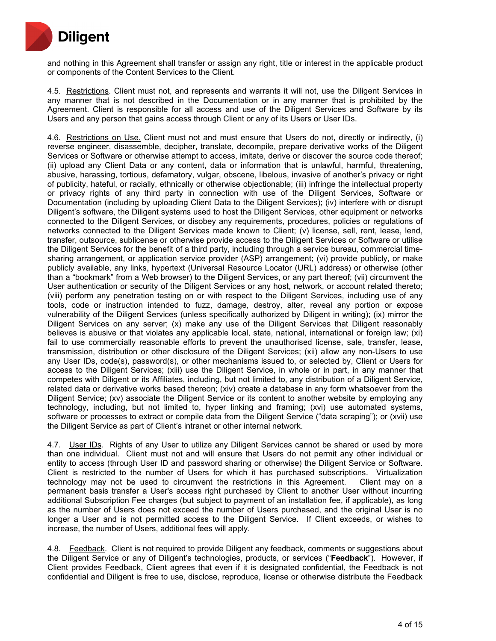

and nothing in this Agreement shall transfer or assign any right, title or interest in the applicable product or components of the Content Services to the Client.

4.5. Restrictions. Client must not, and represents and warrants it will not, use the Diligent Services in any manner that is not described in the Documentation or in any manner that is prohibited by the Agreement. Client is responsible for all access and use of the Diligent Services and Software by its Users and any person that gains access through Client or any of its Users or User IDs.

4.6. Restrictions on Use. Client must not and must ensure that Users do not, directly or indirectly, (i) reverse engineer, disassemble, decipher, translate, decompile, prepare derivative works of the Diligent Services or Software or otherwise attempt to access, imitate, derive or discover the source code thereof; (ii) upload any Client Data or any content, data or information that is unlawful, harmful, threatening, abusive, harassing, tortious, defamatory, vulgar, obscene, libelous, invasive of another's privacy or right of publicity, hateful, or racially, ethnically or otherwise objectionable; (iii) infringe the intellectual property or privacy rights of any third party in connection with use of the Diligent Services, Software or Documentation (including by uploading Client Data to the Diligent Services); (iv) interfere with or disrupt Diligent's software, the Diligent systems used to host the Diligent Services, other equipment or networks connected to the Diligent Services, or disobey any requirements, procedures, policies or regulations of networks connected to the Diligent Services made known to Client; (v) license, sell, rent, lease, lend, transfer, outsource, sublicense or otherwise provide access to the Diligent Services or Software or utilise the Diligent Services for the benefit of a third party, including through a service bureau, commercial timesharing arrangement, or application service provider (ASP) arrangement; (vi) provide publicly, or make publicly available, any links, hypertext (Universal Resource Locator (URL) address) or otherwise (other than a "bookmark" from a Web browser) to the Diligent Services, or any part thereof; (vii) circumvent the User authentication or security of the Diligent Services or any host, network, or account related thereto; (viii) perform any penetration testing on or with respect to the Diligent Services, including use of any tools, code or instruction intended to fuzz, damage, destroy, alter, reveal any portion or expose vulnerability of the Diligent Services (unless specifically authorized by Diligent in writing); (ix) mirror the Diligent Services on any server; (x) make any use of the Diligent Services that Diligent reasonably believes is abusive or that violates any applicable local, state, national, international or foreign law; (xi) fail to use commercially reasonable efforts to prevent the unauthorised license, sale, transfer, lease, transmission, distribution or other disclosure of the Diligent Services; (xii) allow any non-Users to use any User IDs, code(s), password(s), or other mechanisms issued to, or selected by, Client or Users for access to the Diligent Services; (xiii) use the Diligent Service, in whole or in part, in any manner that competes with Diligent or its Affiliates, including, but not limited to, any distribution of a Diligent Service, related data or derivative works based thereon; (xiv) create a database in any form whatsoever from the Diligent Service; (xv) associate the Diligent Service or its content to another website by employing any technology, including, but not limited to, hyper linking and framing; (xvi) use automated systems, software or processes to extract or compile data from the Diligent Service ("data scraping"); or (xvii) use the Diligent Service as part of Client's intranet or other internal network.

4.7. User IDs. Rights of any User to utilize any Diligent Services cannot be shared or used by more than one individual. Client must not and will ensure that Users do not permit any other individual or entity to access (through User ID and password sharing or otherwise) the Diligent Service or Software. Client is restricted to the number of Users for which it has purchased subscriptions. Virtualization technology may not be used to circumvent the restrictions in this Agreement. Client may on a permanent basis transfer a User's access right purchased by Client to another User without incurring additional Subscription Fee charges (but subject to payment of an installation fee, if applicable), as long as the number of Users does not exceed the number of Users purchased, and the original User is no longer a User and is not permitted access to the Diligent Service. If Client exceeds, or wishes to increase, the number of Users, additional fees will apply.

4.8. Feedback. Client is not required to provide Diligent any feedback, comments or suggestions about the Diligent Service or any of Diligent's technologies, products, or services ("**Feedback**"). However, if Client provides Feedback, Client agrees that even if it is designated confidential, the Feedback is not confidential and Diligent is free to use, disclose, reproduce, license or otherwise distribute the Feedback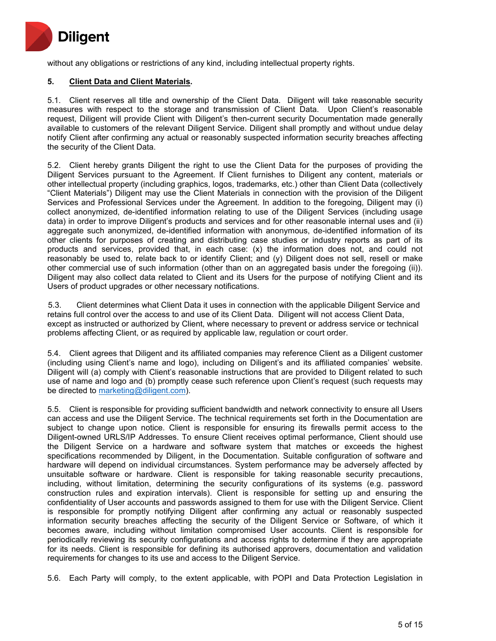

without any obligations or restrictions of any kind, including intellectual property rights.

# **5. Client Data and Client Materials.**

5.1. Client reserves all title and ownership of the Client Data. Diligent will take reasonable security measures with respect to the storage and transmission of Client Data. Upon Client's reasonable request, Diligent will provide Client with Diligent's then-current security Documentation made generally available to customers of the relevant Diligent Service. Diligent shall promptly and without undue delay notify Client after confirming any actual or reasonably suspected information security breaches affecting the security of the Client Data.

5.2. Client hereby grants Diligent the right to use the Client Data for the purposes of providing the Diligent Services pursuant to the Agreement. If Client furnishes to Diligent any content, materials or other intellectual property (including graphics, logos, trademarks, etc.) other than Client Data (collectively "Client Materials") Diligent may use the Client Materials in connection with the provision of the Diligent Services and Professional Services under the Agreement. In addition to the foregoing, Diligent may (i) collect anonymized, de-identified information relating to use of the Diligent Services (including usage data) in order to improve Diligent's products and services and for other reasonable internal uses and (ii) aggregate such anonymized, de-identified information with anonymous, de-identified information of its other clients for purposes of creating and distributing case studies or industry reports as part of its products and services, provided that, in each case: (x) the information does not, and could not reasonably be used to, relate back to or identify Client; and (y) Diligent does not sell, resell or make other commercial use of such information (other than on an aggregated basis under the foregoing (ii)). Diligent may also collect data related to Client and its Users for the purpose of notifying Client and its Users of product upgrades or other necessary notifications.

5.3. Client determines what Client Data it uses in connection with the applicable Diligent Service and retains full control over the access to and use of its Client Data. Diligent will not access Client Data, except as instructed or authorized by Client, where necessary to prevent or address service or technical problems affecting Client, or as required by applicable law, regulation or court order.

5.4. Client agrees that Diligent and its affiliated companies may reference Client as a Diligent customer (including using Client's name and logo), including on Diligent's and its affiliated companies' website. Diligent will (a) comply with Client's reasonable instructions that are provided to Diligent related to such use of name and logo and (b) promptly cease such reference upon Client's request (such requests may be directed to [marketing@diligent.com\)](mailto:marketing@diligent.com).

5.5. Client is responsible for providing sufficient bandwidth and network connectivity to ensure all Users can access and use the Diligent Service. The technical requirements set forth in the Documentation are subject to change upon notice. Client is responsible for ensuring its firewalls permit access to the Diligent-owned URLS/IP Addresses. To ensure Client receives optimal performance, Client should use the Diligent Service on a hardware and software system that matches or exceeds the highest specifications recommended by Diligent, in the Documentation. Suitable configuration of software and hardware will depend on individual circumstances. System performance may be adversely affected by unsuitable software or hardware. Client is responsible for taking reasonable security precautions, including, without limitation, determining the security configurations of its systems (e.g. password construction rules and expiration intervals). Client is responsible for setting up and ensuring the confidentiality of User accounts and passwords assigned to them for use with the Diligent Service. Client is responsible for promptly notifying Diligent after confirming any actual or reasonably suspected information security breaches affecting the security of the Diligent Service or Software, of which it becomes aware, including without limitation compromised User accounts. Client is responsible for periodically reviewing its security configurations and access rights to determine if they are appropriate for its needs. Client is responsible for defining its authorised approvers, documentation and validation requirements for changes to its use and access to the Diligent Service.

5.6. Each Party will comply, to the extent applicable, with POPI and Data Protection Legislation in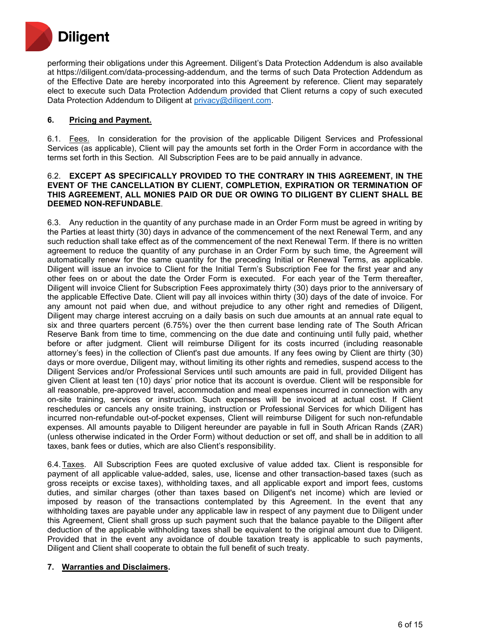

performing their obligations under this Agreement. Diligent's Data Protection Addendum is also available at https://diligent.com/data-processing-addendum, and the terms of such Data Protection Addendum as of the Effective Date are hereby incorporated into this Agreement by reference. Client may separately elect to execute such Data Protection Addendum provided that Client returns a copy of such executed Data Protection Addendum to Diligent at [privacy@diligent.com.](mailto:privacy@diligent.com)

# **6. Pricing and Payment.**

6.1. Fees. In consideration for the provision of the applicable Diligent Services and Professional Services (as applicable), Client will pay the amounts set forth in the Order Form in accordance with the terms set forth in this Section. All Subscription Fees are to be paid annually in advance.

#### 6.2. **EXCEPT AS SPECIFICALLY PROVIDED TO THE CONTRARY IN THIS AGREEMENT, IN THE EVENT OF THE CANCELLATION BY CLIENT, COMPLETION, EXPIRATION OR TERMINATION OF THIS AGREEMENT, ALL MONIES PAID OR DUE OR OWING TO DILIGENT BY CLIENT SHALL BE DEEMED NON-REFUNDABLE**.

6.3. Any reduction in the quantity of any purchase made in an Order Form must be agreed in writing by the Parties at least thirty (30) days in advance of the commencement of the next Renewal Term, and any such reduction shall take effect as of the commencement of the next Renewal Term. If there is no written agreement to reduce the quantity of any purchase in an Order Form by such time, the Agreement will automatically renew for the same quantity for the preceding Initial or Renewal Terms, as applicable. Diligent will issue an invoice to Client for the Initial Term's Subscription Fee for the first year and any other fees on or about the date the Order Form is executed. For each year of the Term thereafter, Diligent will invoice Client for Subscription Fees approximately thirty (30) days prior to the anniversary of the applicable Effective Date. Client will pay all invoices within thirty (30) days of the date of invoice. For any amount not paid when due, and without prejudice to any other right and remedies of Diligent, Diligent may charge interest accruing on a daily basis on such due amounts at an annual rate equal to six and three quarters percent (6.75%) over the then current base lending rate of The South African Reserve Bank from time to time, commencing on the due date and continuing until fully paid, whether before or after judgment. Client will reimburse Diligent for its costs incurred (including reasonable attorney's fees) in the collection of Client's past due amounts. If any fees owing by Client are thirty (30) days or more overdue, Diligent may, without limiting its other rights and remedies, suspend access to the Diligent Services and/or Professional Services until such amounts are paid in full, provided Diligent has given Client at least ten (10) days' prior notice that its account is overdue. Client will be responsible for all reasonable, pre-approved travel, accommodation and meal expenses incurred in connection with any on-site training, services or instruction. Such expenses will be invoiced at actual cost. If Client reschedules or cancels any onsite training, instruction or Professional Services for which Diligent has incurred non-refundable out-of-pocket expenses, Client will reimburse Diligent for such non-refundable expenses. All amounts payable to Diligent hereunder are payable in full in South African Rands (ZAR) (unless otherwise indicated in the Order Form) without deduction or set off, and shall be in addition to all taxes, bank fees or duties, which are also Client's responsibility.

6.4.Taxes. All Subscription Fees are quoted exclusive of value added tax. Client is responsible for payment of all applicable value-added, sales, use, license and other transaction-based taxes (such as gross receipts or excise taxes), withholding taxes, and all applicable export and import fees, customs duties, and similar charges (other than taxes based on Diligent's net income) which are levied or imposed by reason of the transactions contemplated by this Agreement. In the event that any withholding taxes are payable under any applicable law in respect of any payment due to Diligent under this Agreement, Client shall gross up such payment such that the balance payable to the Diligent after deduction of the applicable withholding taxes shall be equivalent to the original amount due to Diligent. Provided that in the event any avoidance of double taxation treaty is applicable to such payments, Diligent and Client shall cooperate to obtain the full benefit of such treaty.

#### **7. Warranties and Disclaimers.**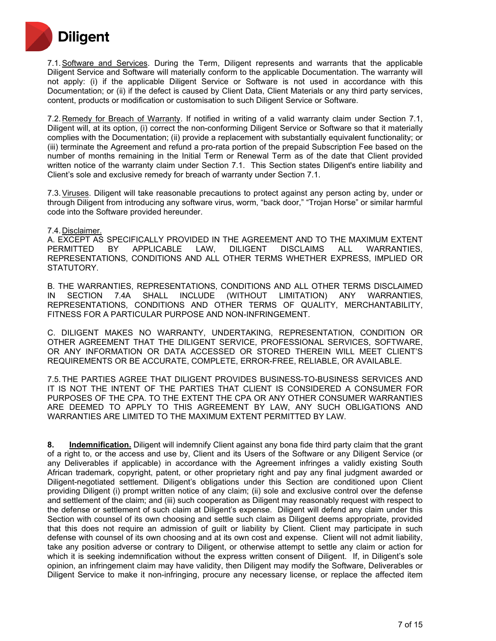

7.1.Software and Services. During the Term, Diligent represents and warrants that the applicable Diligent Service and Software will materially conform to the applicable Documentation. The warranty will not apply: (i) if the applicable Diligent Service or Software is not used in accordance with this Documentation; or (ii) if the defect is caused by Client Data, Client Materials or any third party services, content, products or modification or customisation to such Diligent Service or Software.

7.2. Remedy for Breach of Warranty. If notified in writing of a valid warranty claim under Section 7.1, Diligent will, at its option, (i) correct the non-conforming Diligent Service or Software so that it materially complies with the Documentation; (ii) provide a replacement with substantially equivalent functionality; or (iii) terminate the Agreement and refund a pro-rata portion of the prepaid Subscription Fee based on the number of months remaining in the Initial Term or Renewal Term as of the date that Client provided written notice of the warranty claim under Section 7.1. This Section states Diligent's entire liability and Client's sole and exclusive remedy for breach of warranty under Section 7.1.

7.3.Viruses. Diligent will take reasonable precautions to protect against any person acting by, under or through Diligent from introducing any software virus, worm, "back door," "Trojan Horse" or similar harmful code into the Software provided hereunder.

#### 7.4. Disclaimer.

A. EXCEPT AS SPECIFICALLY PROVIDED IN THE AGREEMENT AND TO THE MAXIMUM EXTENT<br>PERMITTED BY APPLICABLE LAW, DILIGENT DISCLAIMS ALL WARRANTIES, BY APPLICABLE LAW, DILIGENT DISCLAIMS ALL WARRANTIES, REPRESENTATIONS, CONDITIONS AND ALL OTHER TERMS WHETHER EXPRESS, IMPLIED OR STATUTORY.

B. THE WARRANTIES, REPRESENTATIONS, CONDITIONS AND ALL OTHER TERMS DISCLAIMED<br>IN SECTION 7.4A SHALL INCLUDE (WITHOUT LIMITATION) ANY WARRANTIES, IN SECTION 7.4A SHALL INCLUDE (WITHOUT LIMITATION) ANY WARRANTIES, REPRESENTATIONS, CONDITIONS AND OTHER TERMS OF QUALITY, MERCHANTABILITY, FITNESS FOR A PARTICULAR PURPOSE AND NON-INFRINGEMENT.

C. DILIGENT MAKES NO WARRANTY, UNDERTAKING, REPRESENTATION, CONDITION OR OTHER AGREEMENT THAT THE DILIGENT SERVICE, PROFESSIONAL SERVICES, SOFTWARE, OR ANY INFORMATION OR DATA ACCESSED OR STORED THEREIN WILL MEET CLIENT'S REQUIREMENTS OR BE ACCURATE, COMPLETE, ERROR-FREE, RELIABLE, OR AVAILABLE.

7.5.THE PARTIES AGREE THAT DILIGENT PROVIDES BUSINESS-TO-BUSINESS SERVICES AND IT IS NOT THE INTENT OF THE PARTIES THAT CLIENT IS CONSIDERED A CONSUMER FOR PURPOSES OF THE CPA. TO THE EXTENT THE CPA OR ANY OTHER CONSUMER WARRANTIES ARE DEEMED TO APPLY TO THIS AGREEMENT BY LAW, ANY SUCH OBLIGATIONS AND WARRANTIES ARE LIMITED TO THE MAXIMUM EXTENT PERMITTED BY LAW.

**8. Indemnification.** Diligent will indemnify Client against any bona fide third party claim that the grant of a right to, or the access and use by, Client and its Users of the Software or any Diligent Service (or any Deliverables if applicable) in accordance with the Agreement infringes a validly existing South African trademark, copyright, patent, or other proprietary right and pay any final judgment awarded or Diligent-negotiated settlement. Diligent's obligations under this Section are conditioned upon Client providing Diligent (i) prompt written notice of any claim; (ii) sole and exclusive control over the defense and settlement of the claim; and (iii) such cooperation as Diligent may reasonably request with respect to the defense or settlement of such claim at Diligent's expense. Diligent will defend any claim under this Section with counsel of its own choosing and settle such claim as Diligent deems appropriate, provided that this does not require an admission of guilt or liability by Client. Client may participate in such defense with counsel of its own choosing and at its own cost and expense. Client will not admit liability, take any position adverse or contrary to Diligent, or otherwise attempt to settle any claim or action for which it is seeking indemnification without the express written consent of Diligent. If, in Diligent's sole opinion, an infringement claim may have validity, then Diligent may modify the Software, Deliverables or Diligent Service to make it non-infringing, procure any necessary license, or replace the affected item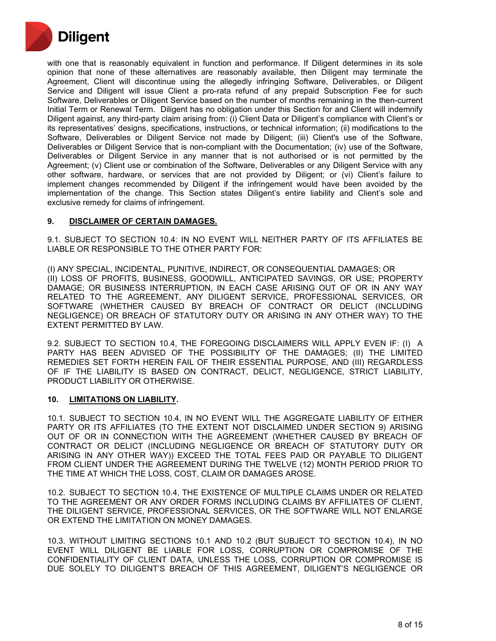

with one that is reasonably equivalent in function and performance. If Diligent determines in its sole opinion that none of these alternatives are reasonably available, then Diligent may terminate the Agreement, Client will discontinue using the allegedly infringing Software, Deliverables, or Diligent Service and Diligent will issue Client a pro-rata refund of any prepaid Subscription Fee for such Software, Deliverables or Diligent Service based on the number of months remaining in the then-current Initial Term or Renewal Term. Diligent has no obligation under this Section for and Client will indemnify Diligent against, any third-party claim arising from: (i) Client Data or Diligent's compliance with Client's or its representatives' designs, specifications, instructions, or technical information; (ii) modifications to the Software, Deliverables or Diligent Service not made by Diligent; (iii) Client's use of the Software, Deliverables or Diligent Service that is non-compliant with the Documentation; (iv) use of the Software, Deliverables or Diligent Service in any manner that is not authorised or is not permitted by the Agreement; (v) Client use or combination of the Software, Deliverables or any Diligent Service with any other software, hardware, or services that are not provided by Diligent; or (vi) Client's failure to implement changes recommended by Diligent if the infringement would have been avoided by the implementation of the change. This Section states Diligent's entire liability and Client's sole and exclusive remedy for claims of infringement.

## **9. DISCLAIMER OF CERTAIN DAMAGES.**

9.1. SUBJECT TO SECTION 10.4: IN NO EVENT WILL NEITHER PARTY OF ITS AFFILIATES BE LIABLE OR RESPONSIBLE TO THE OTHER PARTY FOR:

(I) ANY SPECIAL, INCIDENTAL, PUNITIVE, INDIRECT, OR CONSEQUENTIAL DAMAGES; OR (II) LOSS OF PROFITS, BUSINESS, GOODWILL, ANTICIPATED SAVINGS, OR USE; PROPERTY DAMAGE; OR BUSINESS INTERRUPTION, IN EACH CASE ARISING OUT OF OR IN ANY WAY RELATED TO THE AGREEMENT, ANY DILIGENT SERVICE, PROFESSIONAL SERVICES, OR SOFTWARE (WHETHER CAUSED BY BREACH OF CONTRACT OR DELICT (INCLUDING NEGLIGENCE) OR BREACH OF STATUTORY DUTY OR ARISING IN ANY OTHER WAY) TO THE EXTENT PERMITTED BY LAW.

9.2. SUBJECT TO SECTION 10.4, THE FOREGOING DISCLAIMERS WILL APPLY EVEN IF: (I) A PARTY HAS BEEN ADVISED OF THE POSSIBILITY OF THE DAMAGES; (II) THE LIMITED REMEDIES SET FORTH HEREIN FAIL OF THEIR ESSENTIAL PURPOSE, AND (III) REGARDLESS OF IF THE LIABILITY IS BASED ON CONTRACT, DELICT, NEGLIGENCE, STRICT LIABILITY, PRODUCT LIABILITY OR OTHERWISE.

#### **10. LIMITATIONS ON LIABILITY.**

10.1. SUBJECT TO SECTION 10.4, IN NO EVENT WILL THE AGGREGATE LIABILITY OF EITHER PARTY OR ITS AFFILIATES (TO THE EXTENT NOT DISCLAIMED UNDER SECTION 9) ARISING OUT OF OR IN CONNECTION WITH THE AGREEMENT (WHETHER CAUSED BY BREACH OF CONTRACT OR DELICT (INCLUDING NEGLIGENCE OR BREACH OF STATUTORY DUTY OR ARISING IN ANY OTHER WAY)) EXCEED THE TOTAL FEES PAID OR PAYABLE TO DILIGENT FROM CLIENT UNDER THE AGREEMENT DURING THE TWELVE (12) MONTH PERIOD PRIOR TO THE TIME AT WHICH THE LOSS, COST, CLAIM OR DAMAGES AROSE.

10.2. SUBJECT TO SECTION 10.4, THE EXISTENCE OF MULTIPLE CLAIMS UNDER OR RELATED TO THE AGREEMENT OR ANY ORDER FORMS INCLUDING CLAIMS BY AFFILIATES OF CLIENT, THE DILIGENT SERVICE, PROFESSIONAL SERVICES, OR THE SOFTWARE WILL NOT ENLARGE OR EXTEND THE LIMITATION ON MONEY DAMAGES.

10.3. WITHOUT LIMITING SECTIONS 10.1 AND 10.2 (BUT SUBJECT TO SECTION 10.4), IN NO EVENT WILL DILIGENT BE LIABLE FOR LOSS, CORRUPTION OR COMPROMISE OF THE CONFIDENTIALITY OF CLIENT DATA, UNLESS THE LOSS, CORRUPTION OR COMPROMISE IS DUE SOLELY TO DILIGENT'S BREACH OF THIS AGREEMENT, DILIGENT'S NEGLIGENCE OR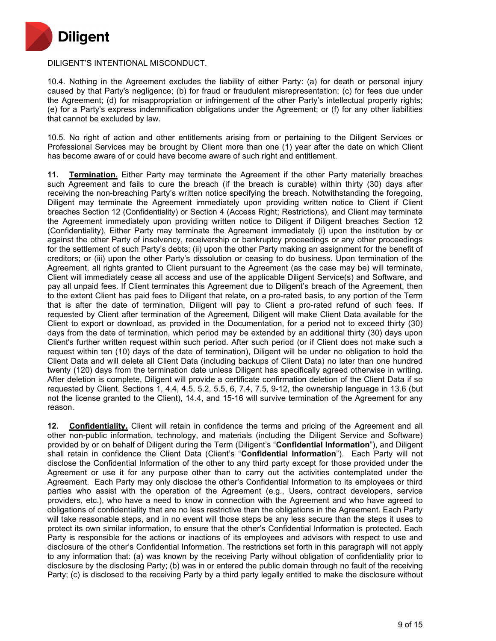

## DILIGENT'S INTENTIONAL MISCONDUCT.

10.4. Nothing in the Agreement excludes the liability of either Party: (a) for death or personal injury caused by that Party's negligence; (b) for fraud or fraudulent misrepresentation; (c) for fees due under the Agreement; (d) for misappropriation or infringement of the other Party's intellectual property rights; (e) for a Party's express indemnification obligations under the Agreement; or (f) for any other liabilities that cannot be excluded by law.

10.5. No right of action and other entitlements arising from or pertaining to the Diligent Services or Professional Services may be brought by Client more than one (1) year after the date on which Client has become aware of or could have become aware of such right and entitlement.

**11. Termination.** Either Party may terminate the Agreement if the other Party materially breaches such Agreement and fails to cure the breach (if the breach is curable) within thirty (30) days after receiving the non-breaching Party's written notice specifying the breach. Notwithstanding the foregoing, Diligent may terminate the Agreement immediately upon providing written notice to Client if Client breaches Section 12 (Confidentiality) or Section 4 (Access Right; Restrictions), and Client may terminate the Agreement immediately upon providing written notice to Diligent if Diligent breaches Section 12 (Confidentiality). Either Party may terminate the Agreement immediately (i) upon the institution by or against the other Party of insolvency, receivership or bankruptcy proceedings or any other proceedings for the settlement of such Party's debts; (ii) upon the other Party making an assignment for the benefit of creditors; or (iii) upon the other Party's dissolution or ceasing to do business. Upon termination of the Agreement, all rights granted to Client pursuant to the Agreement (as the case may be) will terminate, Client will immediately cease all access and use of the applicable Diligent Service(s) and Software, and pay all unpaid fees. If Client terminates this Agreement due to Diligent's breach of the Agreement, then to the extent Client has paid fees to Diligent that relate, on a pro-rated basis, to any portion of the Term that is after the date of termination, Diligent will pay to Client a pro-rated refund of such fees. If requested by Client after termination of the Agreement, Diligent will make Client Data available for the Client to export or download, as provided in the Documentation, for a period not to exceed thirty (30) days from the date of termination, which period may be extended by an additional thirty (30) days upon Client's further written request within such period. After such period (or if Client does not make such a request within ten (10) days of the date of termination), Diligent will be under no obligation to hold the Client Data and will delete all Client Data (including backups of Client Data) no later than one hundred twenty (120) days from the termination date unless Diligent has specifically agreed otherwise in writing. After deletion is complete, Diligent will provide a certificate confirmation deletion of the Client Data if so requested by Client. Sections 1, 4.4, 4.5, 5.2, 5.5, 6, 7.4, 7.5, 9-12, the ownership language in 13.6 (but not the license granted to the Client), 14.4, and 15-16 will survive termination of the Agreement for any reason.

**12. Confidentiality.** Client will retain in confidence the terms and pricing of the Agreement and all other non-public information, technology, and materials (including the Diligent Service and Software) provided by or on behalf of Diligent during the Term (Diligent's "**Confidential Information**"), and Diligent shall retain in confidence the Client Data (Client's "**Confidential Information**"). Each Party will not disclose the Confidential Information of the other to any third party except for those provided under the Agreement or use it for any purpose other than to carry out the activities contemplated under the Agreement. Each Party may only disclose the other's Confidential Information to its employees or third parties who assist with the operation of the Agreement (e.g., Users, contract developers, service providers, etc.), who have a need to know in connection with the Agreement and who have agreed to obligations of confidentiality that are no less restrictive than the obligations in the Agreement. Each Party will take reasonable steps, and in no event will those steps be any less secure than the steps it uses to protect its own similar information, to ensure that the other's Confidential Information is protected. Each Party is responsible for the actions or inactions of its employees and advisors with respect to use and disclosure of the other's Confidential Information. The restrictions set forth in this paragraph will not apply to any information that: (a) was known by the receiving Party without obligation of confidentiality prior to disclosure by the disclosing Party; (b) was in or entered the public domain through no fault of the receiving Party; (c) is disclosed to the receiving Party by a third party legally entitled to make the disclosure without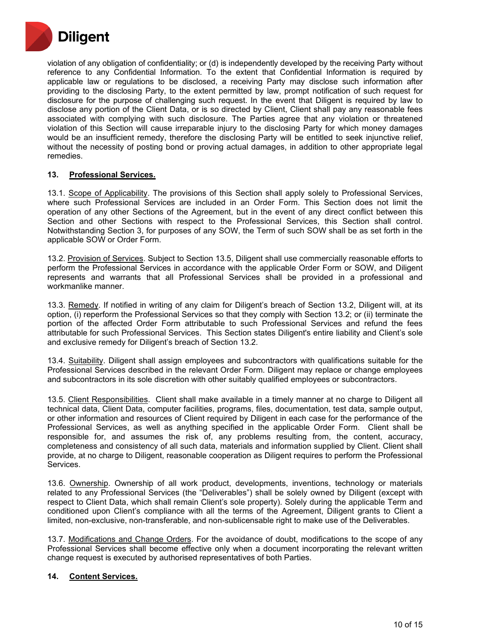

violation of any obligation of confidentiality; or (d) is independently developed by the receiving Party without reference to any Confidential Information. To the extent that Confidential Information is required by applicable law or regulations to be disclosed, a receiving Party may disclose such information after providing to the disclosing Party, to the extent permitted by law, prompt notification of such request for disclosure for the purpose of challenging such request. In the event that Diligent is required by law to disclose any portion of the Client Data, or is so directed by Client, Client shall pay any reasonable fees associated with complying with such disclosure. The Parties agree that any violation or threatened violation of this Section will cause irreparable injury to the disclosing Party for which money damages would be an insufficient remedy, therefore the disclosing Party will be entitled to seek injunctive relief, without the necessity of posting bond or proving actual damages, in addition to other appropriate legal remedies.

## **13. Professional Services.**

13.1. Scope of Applicability. The provisions of this Section shall apply solely to Professional Services, where such Professional Services are included in an Order Form. This Section does not limit the operation of any other Sections of the Agreement, but in the event of any direct conflict between this Section and other Sections with respect to the Professional Services, this Section shall control. Notwithstanding Section 3, for purposes of any SOW, the Term of such SOW shall be as set forth in the applicable SOW or Order Form.

13.2. Provision of Services. Subject to Section 13.5, Diligent shall use commercially reasonable efforts to perform the Professional Services in accordance with the applicable Order Form or SOW, and Diligent represents and warrants that all Professional Services shall be provided in a professional and workmanlike manner.

13.3. Remedy. If notified in writing of any claim for Diligent's breach of Section 13.2, Diligent will, at its option, (i) reperform the Professional Services so that they comply with Section 13.2; or (ii) terminate the portion of the affected Order Form attributable to such Professional Services and refund the fees attributable for such Professional Services. This Section states Diligent's entire liability and Client's sole and exclusive remedy for Diligent's breach of Section 13.2.

13.4. Suitability. Diligent shall assign employees and subcontractors with qualifications suitable for the Professional Services described in the relevant Order Form. Diligent may replace or change employees and subcontractors in its sole discretion with other suitably qualified employees or subcontractors.

13.5. Client Responsibilities. Client shall make available in a timely manner at no charge to Diligent all technical data, Client Data, computer facilities, programs, files, documentation, test data, sample output, or other information and resources of Client required by Diligent in each case for the performance of the Professional Services, as well as anything specified in the applicable Order Form. Client shall be responsible for, and assumes the risk of, any problems resulting from, the content, accuracy, completeness and consistency of all such data, materials and information supplied by Client. Client shall provide, at no charge to Diligent, reasonable cooperation as Diligent requires to perform the Professional Services.

13.6. Ownership. Ownership of all work product, developments, inventions, technology or materials related to any Professional Services (the "Deliverables") shall be solely owned by Diligent (except with respect to Client Data, which shall remain Client's sole property). Solely during the applicable Term and conditioned upon Client's compliance with all the terms of the Agreement, Diligent grants to Client a limited, non-exclusive, non-transferable, and non-sublicensable right to make use of the Deliverables.

13.7. Modifications and Change Orders. For the avoidance of doubt, modifications to the scope of any Professional Services shall become effective only when a document incorporating the relevant written change request is executed by authorised representatives of both Parties.

# **14. Content Services.**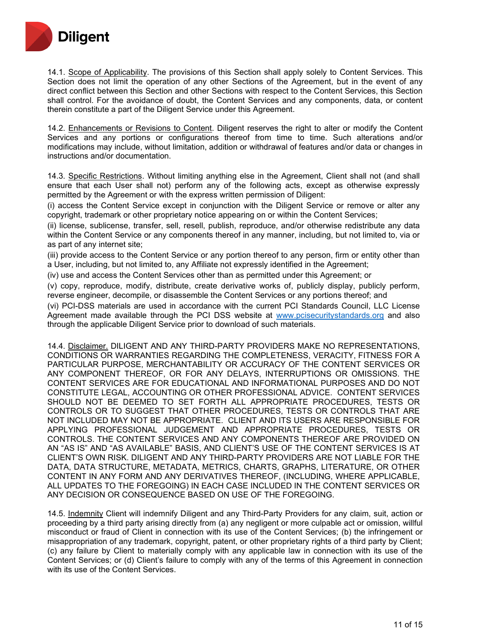

14.1. Scope of Applicability. The provisions of this Section shall apply solely to Content Services. This Section does not limit the operation of any other Sections of the Agreement, but in the event of any direct conflict between this Section and other Sections with respect to the Content Services, this Section shall control. For the avoidance of doubt, the Content Services and any components, data, or content therein constitute a part of the Diligent Service under this Agreement.

14.2. Enhancements or Revisions to Content. Diligent reserves the right to alter or modify the Content Services and any portions or configurations thereof from time to time. Such alterations and/or modifications may include, without limitation, addition or withdrawal of features and/or data or changes in instructions and/or documentation.

14.3. Specific Restrictions. Without limiting anything else in the Agreement, Client shall not (and shall ensure that each User shall not) perform any of the following acts, except as otherwise expressly permitted by the Agreement or with the express written permission of Diligent:

(i) access the Content Service except in conjunction with the Diligent Service or remove or alter any copyright, trademark or other proprietary notice appearing on or within the Content Services;

(ii) license, sublicense, transfer, sell, resell, publish, reproduce, and/or otherwise redistribute any data within the Content Service or any components thereof in any manner, including, but not limited to, via or as part of any internet site;

(iii) provide access to the Content Service or any portion thereof to any person, firm or entity other than a User, including, but not limited to, any Affiliate not expressly identified in the Agreement;

(iv) use and access the Content Services other than as permitted under this Agreement; or

(v) copy, reproduce, modify, distribute, create derivative works of, publicly display, publicly perform, reverse engineer, decompile, or disassemble the Content Services or any portions thereof; and

(vi) PCI-DSS materials are used in accordance with the current PCI Standards Council, LLC License Agreement made available through the PCI DSS website at [www.pcisecuritystandards.org](http://www.pcisecuritystandards.org/) and also through the applicable Diligent Service prior to download of such materials.

14.4. Disclaimer. DILIGENT AND ANY THIRD-PARTY PROVIDERS MAKE NO REPRESENTATIONS, CONDITIONS OR WARRANTIES REGARDING THE COMPLETENESS, VERACITY, FITNESS FOR A PARTICULAR PURPOSE, MERCHANTABILITY OR ACCURACY OF THE CONTENT SERVICES OR ANY COMPONENT THEREOF, OR FOR ANY DELAYS, INTERRUPTIONS OR OMISSIONS. THE CONTENT SERVICES ARE FOR EDUCATIONAL AND INFORMATIONAL PURPOSES AND DO NOT CONSTITUTE LEGAL, ACCOUNTING OR OTHER PROFESSIONAL ADVICE. CONTENT SERVICES SHOULD NOT BE DEEMED TO SET FORTH ALL APPROPRIATE PROCEDURES, TESTS OR CONTROLS OR TO SUGGEST THAT OTHER PROCEDURES, TESTS OR CONTROLS THAT ARE NOT INCLUDED MAY NOT BE APPROPRIATE. CLIENT AND ITS USERS ARE RESPONSIBLE FOR APPLYING PROFESSIONAL JUDGEMENT AND APPROPRIATE PROCEDURES, TESTS OR CONTROLS. THE CONTENT SERVICES AND ANY COMPONENTS THEREOF ARE PROVIDED ON AN "AS IS" AND "AS AVAILABLE" BASIS, AND CLIENT'S USE OF THE CONTENT SERVICES IS AT CLIENT'S OWN RISK. DILIGENT AND ANY THIRD-PARTY PROVIDERS ARE NOT LIABLE FOR THE DATA, DATA STRUCTURE, METADATA, METRICS, CHARTS, GRAPHS, LITERATURE, OR OTHER CONTENT IN ANY FORM AND ANY DERIVATIVES THEREOF, (INCLUDING, WHERE APPLICABLE, ALL UPDATES TO THE FOREGOING) IN EACH CASE INCLUDED IN THE CONTENT SERVICES OR ANY DECISION OR CONSEQUENCE BASED ON USE OF THE FOREGOING.

14.5. Indemnity Client will indemnify Diligent and any Third-Party Providers for any claim, suit, action or proceeding by a third party arising directly from (a) any negligent or more culpable act or omission, willful misconduct or fraud of Client in connection with its use of the Content Services; (b) the infringement or misappropriation of any trademark, copyright, patent, or other proprietary rights of a third party by Client; (c) any failure by Client to materially comply with any applicable law in connection with its use of the Content Services; or (d) Client's failure to comply with any of the terms of this Agreement in connection with its use of the Content Services.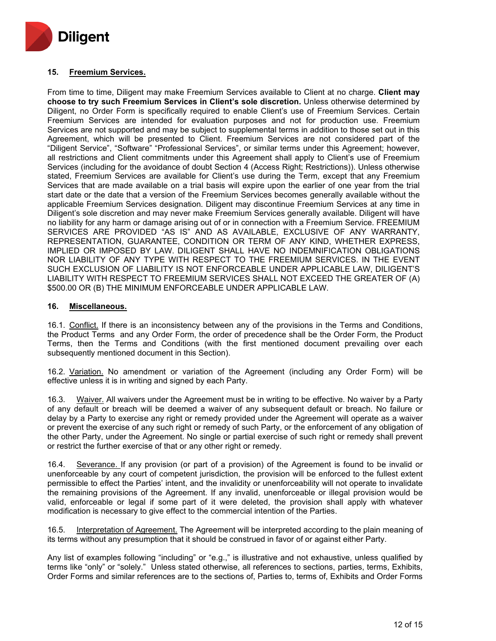

# **15. Freemium Services.**

From time to time, Diligent may make Freemium Services available to Client at no charge. **Client may choose to try such Freemium Services in Client's sole discretion.** Unless otherwise determined by Diligent, no Order Form is specifically required to enable Client's use of Freemium Services. Certain Freemium Services are intended for evaluation purposes and not for production use. Freemium Services are not supported and may be subject to supplemental terms in addition to those set out in this Agreement, which will be presented to Client. Freemium Services are not considered part of the "Diligent Service", "Software" "Professional Services", or similar terms under this Agreement; however, all restrictions and Client commitments under this Agreement shall apply to Client's use of Freemium Services (including for the avoidance of doubt Section 4 (Access Right; Restrictions)). Unless otherwise stated, Freemium Services are available for Client's use during the Term, except that any Freemium Services that are made available on a trial basis will expire upon the earlier of one year from the trial start date or the date that a version of the Freemium Services becomes generally available without the applicable Freemium Services designation. Diligent may discontinue Freemium Services at any time in Diligent's sole discretion and may never make Freemium Services generally available. Diligent will have no liability for any harm or damage arising out of or in connection with a Freemium Service. FREEMIUM SERVICES ARE PROVIDED "AS IS" AND AS AVAILABLE, EXCLUSIVE OF ANY WARRANTY, REPRESENTATION, GUARANTEE, CONDITION OR TERM OF ANY KIND, WHETHER EXPRESS, IMPLIED OR IMPOSED BY LAW. DILIGENT SHALL HAVE NO INDEMNIFICATION OBLIGATIONS NOR LIABILITY OF ANY TYPE WITH RESPECT TO THE FREEMIUM SERVICES. IN THE EVENT SUCH EXCLUSION OF LIABILITY IS NOT ENFORCEABLE UNDER APPLICABLE LAW, DILIGENT'S LIABILITY WITH RESPECT TO FREEMIUM SERVICES SHALL NOT EXCEED THE GREATER OF (A) \$500.00 OR (B) THE MINIMUM ENFORCEABLE UNDER APPLICABLE LAW.

## **16. Miscellaneous.**

16.1. Conflict. If there is an inconsistency between any of the provisions in the Terms and Conditions, the Product Terms and any Order Form, the order of precedence shall be the Order Form, the Product Terms, then the Terms and Conditions (with the first mentioned document prevailing over each subsequently mentioned document in this Section).

16.2. Variation. No amendment or variation of the Agreement (including any Order Form) will be effective unless it is in writing and signed by each Party.

16.3. Waiver. All waivers under the Agreement must be in writing to be effective. No waiver by a Party of any default or breach will be deemed a waiver of any subsequent default or breach. No failure or delay by a Party to exercise any right or remedy provided under the Agreement will operate as a waiver or prevent the exercise of any such right or remedy of such Party, or the enforcement of any obligation of the other Party, under the Agreement. No single or partial exercise of such right or remedy shall prevent or restrict the further exercise of that or any other right or remedy.

16.4. Severance. If any provision (or part of a provision) of the Agreement is found to be invalid or unenforceable by any court of competent jurisdiction, the provision will be enforced to the fullest extent permissible to effect the Parties' intent, and the invalidity or unenforceability will not operate to invalidate the remaining provisions of the Agreement. If any invalid, unenforceable or illegal provision would be valid, enforceable or legal if some part of it were deleted, the provision shall apply with whatever modification is necessary to give effect to the commercial intention of the Parties.

16.5. Interpretation of Agreement. The Agreement will be interpreted according to the plain meaning of its terms without any presumption that it should be construed in favor of or against either Party.

Any list of examples following "including" or "e.g.," is illustrative and not exhaustive, unless qualified by terms like "only" or "solely." Unless stated otherwise, all references to sections, parties, terms, Exhibits, Order Forms and similar references are to the sections of, Parties to, terms of, Exhibits and Order Forms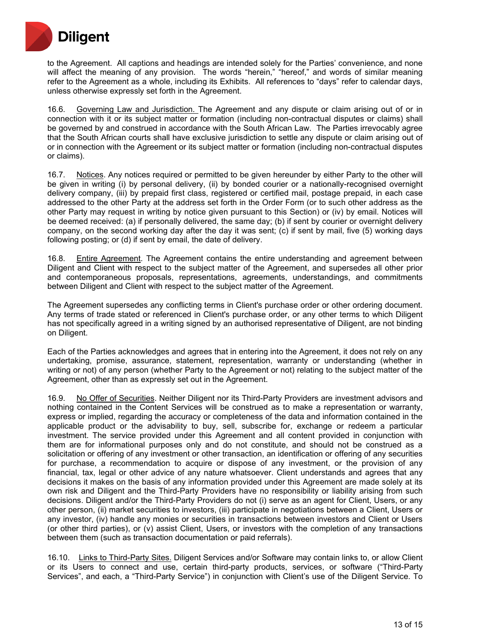

to the Agreement. All captions and headings are intended solely for the Parties' convenience, and none will affect the meaning of any provision. The words "herein," "hereof," and words of similar meaning refer to the Agreement as a whole, including its Exhibits. All references to "days" refer to calendar days, unless otherwise expressly set forth in the Agreement.

16.6. Governing Law and Jurisdiction. The Agreement and any dispute or claim arising out of or in connection with it or its subject matter or formation (including non-contractual disputes or claims) shall be governed by and construed in accordance with the South African Law. The Parties irrevocably agree that the South African courts shall have exclusive jurisdiction to settle any dispute or claim arising out of or in connection with the Agreement or its subject matter or formation (including non-contractual disputes or claims).

16.7. Notices. Any notices required or permitted to be given hereunder by either Party to the other will be given in writing (i) by personal delivery, (ii) by bonded courier or a nationally-recognised overnight delivery company, (iii) by prepaid first class, registered or certified mail, postage prepaid, in each case addressed to the other Party at the address set forth in the Order Form (or to such other address as the other Party may request in writing by notice given pursuant to this Section) or (iv) by email. Notices will be deemed received: (a) if personally delivered, the same day; (b) if sent by courier or overnight delivery company, on the second working day after the day it was sent; (c) if sent by mail, five (5) working days following posting; or (d) if sent by email, the date of delivery.

16.8. Entire Agreement. The Agreement contains the entire understanding and agreement between Diligent and Client with respect to the subject matter of the Agreement, and supersedes all other prior and contemporaneous proposals, representations, agreements, understandings, and commitments between Diligent and Client with respect to the subject matter of the Agreement.

The Agreement supersedes any conflicting terms in Client's purchase order or other ordering document. Any terms of trade stated or referenced in Client's purchase order, or any other terms to which Diligent has not specifically agreed in a writing signed by an authorised representative of Diligent, are not binding on Diligent.

Each of the Parties acknowledges and agrees that in entering into the Agreement, it does not rely on any undertaking, promise, assurance, statement, representation, warranty or understanding (whether in writing or not) of any person (whether Party to the Agreement or not) relating to the subject matter of the Agreement, other than as expressly set out in the Agreement.

16.9. No Offer of Securities. Neither Diligent nor its Third-Party Providers are investment advisors and nothing contained in the Content Services will be construed as to make a representation or warranty, express or implied, regarding the accuracy or completeness of the data and information contained in the applicable product or the advisability to buy, sell, subscribe for, exchange or redeem a particular investment. The service provided under this Agreement and all content provided in conjunction with them are for informational purposes only and do not constitute, and should not be construed as a solicitation or offering of any investment or other transaction, an identification or offering of any securities for purchase, a recommendation to acquire or dispose of any investment, or the provision of any financial, tax, legal or other advice of any nature whatsoever. Client understands and agrees that any decisions it makes on the basis of any information provided under this Agreement are made solely at its own risk and Diligent and the Third-Party Providers have no responsibility or liability arising from such decisions. Diligent and/or the Third-Party Providers do not (i) serve as an agent for Client, Users, or any other person, (ii) market securities to investors, (iii) participate in negotiations between a Client, Users or any investor, (iv) handle any monies or securities in transactions between investors and Client or Users (or other third parties), or (v) assist Client, Users, or investors with the completion of any transactions between them (such as transaction documentation or paid referrals).

16.10. Links to Third-Party Sites. Diligent Services and/or Software may contain links to, or allow Client or its Users to connect and use, certain third-party products, services, or software ("Third-Party Services", and each, a "Third-Party Service") in conjunction with Client's use of the Diligent Service. To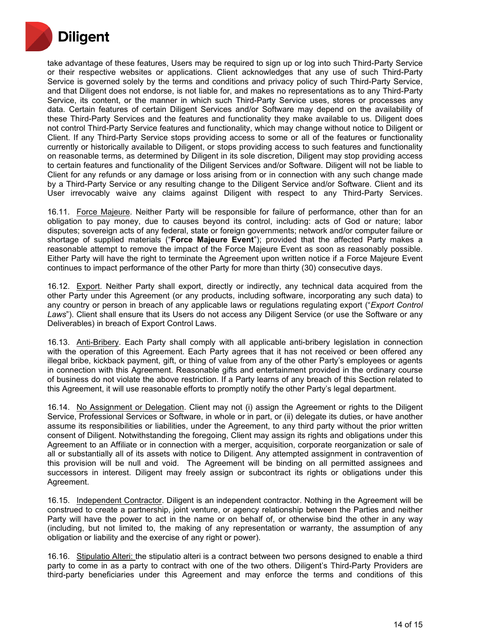

take advantage of these features, Users may be required to sign up or log into such Third-Party Service or their respective websites or applications. Client acknowledges that any use of such Third-Party Service is governed solely by the terms and conditions and privacy policy of such Third-Party Service, and that Diligent does not endorse, is not liable for, and makes no representations as to any Third-Party Service, its content, or the manner in which such Third-Party Service uses, stores or processes any data. Certain features of certain Diligent Services and/or Software may depend on the availability of these Third-Party Services and the features and functionality they make available to us. Diligent does not control Third-Party Service features and functionality, which may change without notice to Diligent or Client. If any Third-Party Service stops providing access to some or all of the features or functionality currently or historically available to Diligent, or stops providing access to such features and functionality on reasonable terms, as determined by Diligent in its sole discretion, Diligent may stop providing access to certain features and functionality of the Diligent Services and/or Software. Diligent will not be liable to Client for any refunds or any damage or loss arising from or in connection with any such change made by a Third-Party Service or any resulting change to the Diligent Service and/or Software. Client and its User irrevocably waive any claims against Diligent with respect to any Third-Party Services.

16.11. Force Majeure. Neither Party will be responsible for failure of performance, other than for an obligation to pay money, due to causes beyond its control, including: acts of God or nature; labor disputes; sovereign acts of any federal, state or foreign governments; network and/or computer failure or shortage of supplied materials ("**Force Majeure Event**"); provided that the affected Party makes a reasonable attempt to remove the impact of the Force Majeure Event as soon as reasonably possible. Either Party will have the right to terminate the Agreement upon written notice if a Force Majeure Event continues to impact performance of the other Party for more than thirty (30) consecutive days.

16.12. Export. Neither Party shall export, directly or indirectly, any technical data acquired from the other Party under this Agreement (or any products, including software, incorporating any such data) to any country or person in breach of any applicable laws or regulations regulating export ("*Export Control Laws*"). Client shall ensure that its Users do not access any Diligent Service (or use the Software or any Deliverables) in breach of Export Control Laws.

16.13. Anti-Bribery. Each Party shall comply with all applicable anti-bribery legislation in connection with the operation of this Agreement. Each Party agrees that it has not received or been offered any illegal bribe, kickback payment, gift, or thing of value from any of the other Party's employees or agents in connection with this Agreement. Reasonable gifts and entertainment provided in the ordinary course of business do not violate the above restriction. If a Party learns of any breach of this Section related to this Agreement, it will use reasonable efforts to promptly notify the other Party's legal department.

16.14. No Assignment or Delegation. Client may not (i) assign the Agreement or rights to the Diligent Service, Professional Services or Software, in whole or in part, or (ii) delegate its duties, or have another assume its responsibilities or liabilities, under the Agreement, to any third party without the prior written consent of Diligent. Notwithstanding the foregoing, Client may assign its rights and obligations under this Agreement to an Affiliate or in connection with a merger, acquisition, corporate reorganization or sale of all or substantially all of its assets with notice to Diligent. Any attempted assignment in contravention of this provision will be null and void. The Agreement will be binding on all permitted assignees and successors in interest. Diligent may freely assign or subcontract its rights or obligations under this Agreement.

16.15. Independent Contractor. Diligent is an independent contractor. Nothing in the Agreement will be construed to create a partnership, joint venture, or agency relationship between the Parties and neither Party will have the power to act in the name or on behalf of, or otherwise bind the other in any way (including, but not limited to, the making of any representation or warranty, the assumption of any obligation or liability and the exercise of any right or power).

16.16. Stipulatio Alteri: the stipulatio alteri is a contract between two persons designed to enable a third party to come in as a party to contract with one of the two others. Diligent's Third-Party Providers are third-party beneficiaries under this Agreement and may enforce the terms and conditions of this